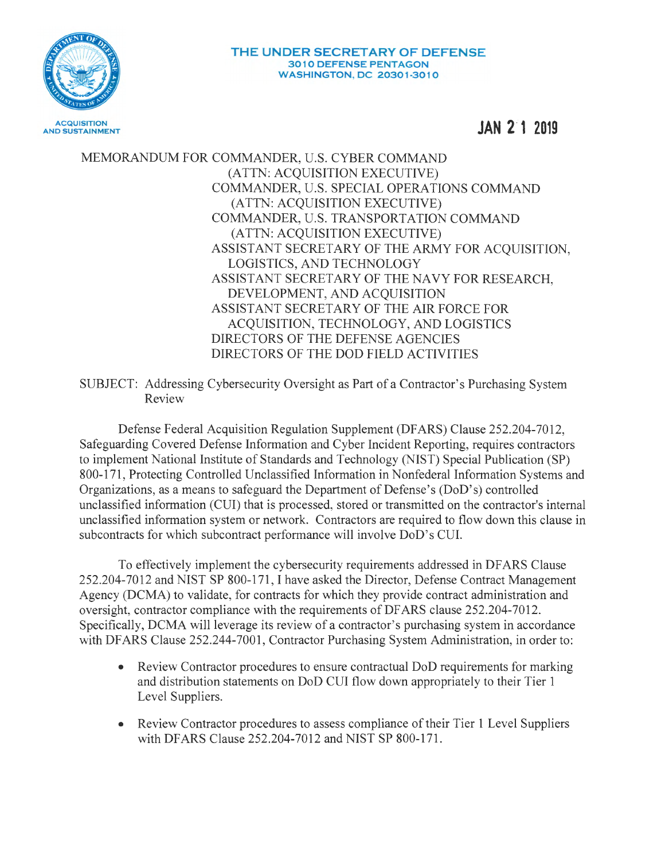

**JAN 2·1 2019** 

MEMORANDUM FOR COMMANDER, U.S. CYBER COMMAND (ATTN: ACQUISITION EXECUTIVE) COMMANDER, U.S. SPECIAL OPERATIONS COMMAND (ATTN: ACQUISITION EXECUTIVE) COMMANDER, U.S. TRANSPORTATION COMMAND (ATTN: ACQUISITION EXECUTIVE) ASSISTANT SECRETARY OF THE ARMY FOR ACQUISITION, LOGISTICS, AND TECHNOLOGY ASSISTANT SECRETARY OF THE NAVY FOR RESEARCH, DEVELOPMENT, AND ACQUISITION ASSISTANT SECRETARY OF THE AIR FORCE FOR ACQUISITION, TECHNOLOGY, AND LOGISTICS DIRECTORS OF THE DEFENSE AGENCIES DIRECTORS OF THE DOD FIELD ACTIVITIES

SUBJECT: Addressing Cybersecurity Oversight as Part of a Contractor's Purchasing System Review

Defense Federal Acquisition Regulation Supplement (DFARS) Clause 252.204-7012, Safeguarding Covered Defense Information and Cyber Incident Reporting, requires contractors to implement National Institute of Standards and Technology (NIST) Special Publication (SP) 800-171, Protecting Controlled Unclassified Information in Nonfederal Information Systems and Organizations, as a means to safeguard the Department of Defense's (DoD's) controlled unclassified information (CUI) that is processed, stored or transmitted on the contractor's internal unclassified information system or network. Contractors are required to flow down this clause in subcontracts for which subcontract performance will involve DoD's CUI.

To effectively implement the cybersecurity requirements addressed in DF ARS Clause 252.204-7012 and NIST SP 800-171 , I have asked the Director, Defense Contract Management Agency (DCMA) to validate, for contracts for which they provide contract administration and oversight, contractor compliance with the requirements of DF ARS clause 252.204-7012. Specifically, DCMA will leverage its review of a contractor's purchasing system in accordance with DFARS Clause 252.244-7001, Contractor Purchasing System Administration, in order to:

- Review Contractor procedures to ensure contractual DoD requirements for marking and distribution statements on DoD CUI flow down appropriately to their Tier 1 Level Suppliers.
- Review Contractor procedures to assess compliance of their Tier 1 Level Suppliers with DFARS Clause 252.204-7012 and NIST SP 800-171.